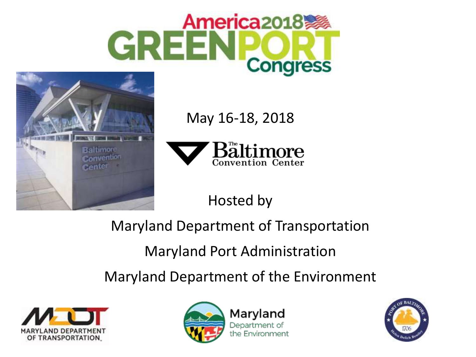# America<sub>2018</sub> GREE **Congress**



May 16-18, 2018



# Hosted by

Maryland Department of Transportation

Maryland Port Administration

Maryland Department of the Environment







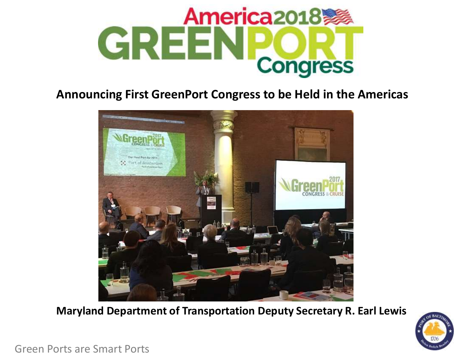

### **Announcing First GreenPort Congress to be Held in the Americas**



**Maryland Department of Transportation Deputy Secretary R. Earl Lewis** 

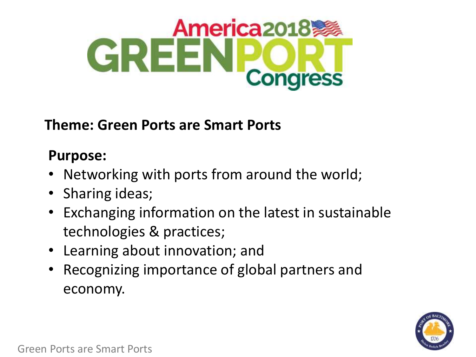

### **Theme: Green Ports are Smart Ports**

### **Purpose:**

- Networking with ports from around the world;
- Sharing ideas;
- Exchanging information on the latest in sustainable technologies & practices;
- Learning about innovation; and
- Recognizing importance of global partners and economy.

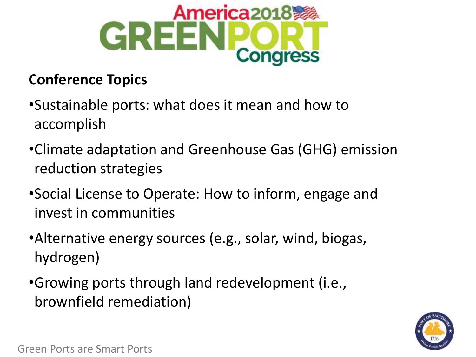

### **Conference Topics**

- •Sustainable ports: what does it mean and how to accomplish
- •Climate adaptation and Greenhouse Gas (GHG) emission reduction strategies
- •Social License to Operate: How to inform, engage and invest in communities
- •Alternative energy sources (e.g., solar, wind, biogas, hydrogen)
- •Growing ports through land redevelopment (i.e., brownfield remediation)

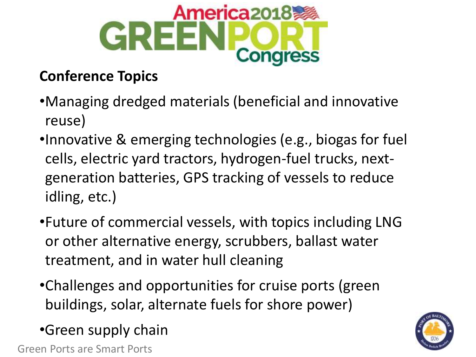

# **Conference Topics**

- •Managing dredged materials (beneficial and innovative reuse)
- •Innovative & emerging technologies (e.g., biogas for fuel cells, electric yard tractors, hydrogen-fuel trucks, nextgeneration batteries, GPS tracking of vessels to reduce idling, etc.)
- •Future of commercial vessels, with topics including LNG or other alternative energy, scrubbers, ballast water treatment, and in water hull cleaning
- •Challenges and opportunities for cruise ports (green buildings, solar, alternate fuels for shore power)
- •Green supply chain

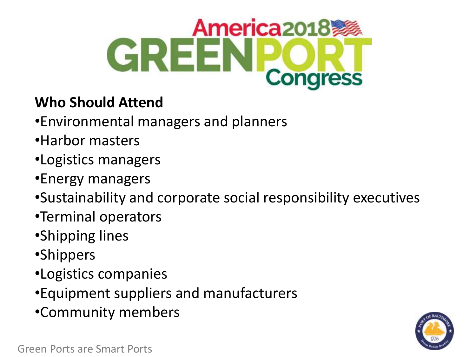

# **Who Should Attend**

- •Environmental managers and planners
- •Harbor masters
- •Logistics managers
- •Energy managers
- •Sustainability and corporate social responsibility executives
- •Terminal operators
- •Shipping lines
- •Shippers
- •Logistics companies
- •Equipment suppliers and manufacturers
- •Community members

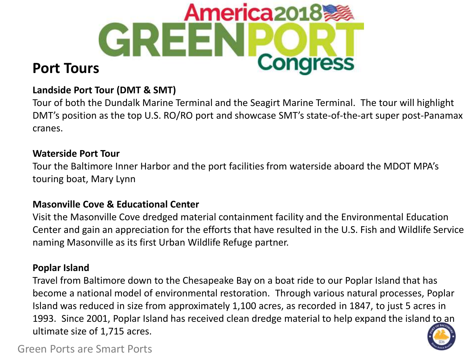

### **Landside Port Tour (DMT & SMT)**

Tour of both the Dundalk Marine Terminal and the Seagirt Marine Terminal. The tour will highlight DMT's position as the top U.S. RO/RO port and showcase SMT's state-of-the-art super post-Panamax cranes.

#### **Waterside Port Tour**

Tour the Baltimore Inner Harbor and the port facilities from waterside aboard the MDOT MPA's touring boat, Mary Lynn

#### **Masonville Cove & Educational Center**

Visit the Masonville Cove dredged material containment facility and the Environmental Education Center and gain an appreciation for the efforts that have resulted in the U.S. Fish and Wildlife Service naming Masonville as its first Urban Wildlife Refuge partner.

#### **Poplar Island**

Travel from Baltimore down to the Chesapeake Bay on a boat ride to our Poplar Island that has become a national model of environmental restoration. Through various natural processes, Poplar Island was reduced in size from approximately 1,100 acres, as recorded in 1847, to just 5 acres in 1993. Since 2001, Poplar Island has received clean dredge material to help expand the island to an ultimate size of 1,715 acres.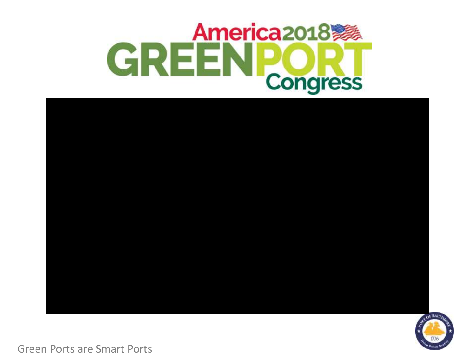